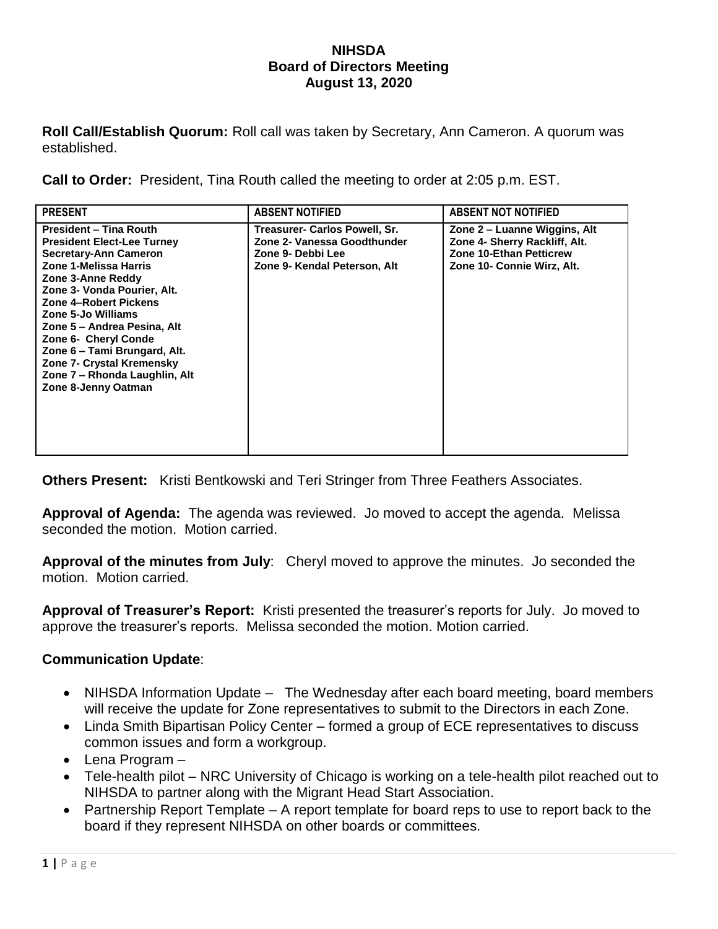## **NIHSDA Board of Directors Meeting August 13, 2020**

**Roll Call/Establish Quorum:** Roll call was taken by Secretary, Ann Cameron. A quorum was established.

**Call to Order:** President, Tina Routh called the meeting to order at 2:05 p.m. EST.

| <b>PRESENT</b>                                                                                                                                                                                                                                                                                                                                                                                      | <b>ABSENT NOTIFIED</b>                                                                                            | <b>ABSENT NOT NOTIFIED</b>                                                                                             |
|-----------------------------------------------------------------------------------------------------------------------------------------------------------------------------------------------------------------------------------------------------------------------------------------------------------------------------------------------------------------------------------------------------|-------------------------------------------------------------------------------------------------------------------|------------------------------------------------------------------------------------------------------------------------|
| <b>President - Tina Routh</b><br><b>President Elect-Lee Turney</b><br>Secretary-Ann Cameron<br>Zone 1-Melissa Harris<br>Zone 3-Anne Reddy<br>Zone 3- Vonda Pourier, Alt.<br>Zone 4-Robert Pickens<br>Zone 5-Jo Williams<br>Zone 5 – Andrea Pesina, Alt<br>Zone 6- Cheryl Conde<br>Zone 6 - Tami Brungard, Alt.<br>Zone 7- Crystal Kremensky<br>Zone 7 – Rhonda Laughlin, Alt<br>Zone 8-Jenny Oatman | Treasurer- Carlos Powell, Sr.<br>Zone 2- Vanessa Goodthunder<br>Zone 9- Debbi Lee<br>Zone 9- Kendal Peterson, Alt | Zone 2 – Luanne Wiggins, Alt<br>Zone 4- Sherry Rackliff, Alt.<br>Zone 10-Ethan Petticrew<br>Zone 10- Connie Wirz, Alt. |

**Others Present:** Kristi Bentkowski and Teri Stringer from Three Feathers Associates.

**Approval of Agenda:** The agenda was reviewed. Jo moved to accept the agenda. Melissa seconded the motion. Motion carried.

**Approval of the minutes from July**: Cheryl moved to approve the minutes. Jo seconded the motion. Motion carried.

**Approval of Treasurer's Report:** Kristi presented the treasurer's reports for July. Jo moved to approve the treasurer's reports. Melissa seconded the motion. Motion carried.

## **Communication Update**:

- NIHSDA Information Update The Wednesday after each board meeting, board members will receive the update for Zone representatives to submit to the Directors in each Zone.
- Linda Smith Bipartisan Policy Center formed a group of ECE representatives to discuss common issues and form a workgroup.
- Lena Program –
- Tele-health pilot NRC University of Chicago is working on a tele-health pilot reached out to NIHSDA to partner along with the Migrant Head Start Association.
- Partnership Report Template A report template for board reps to use to report back to the board if they represent NIHSDA on other boards or committees.